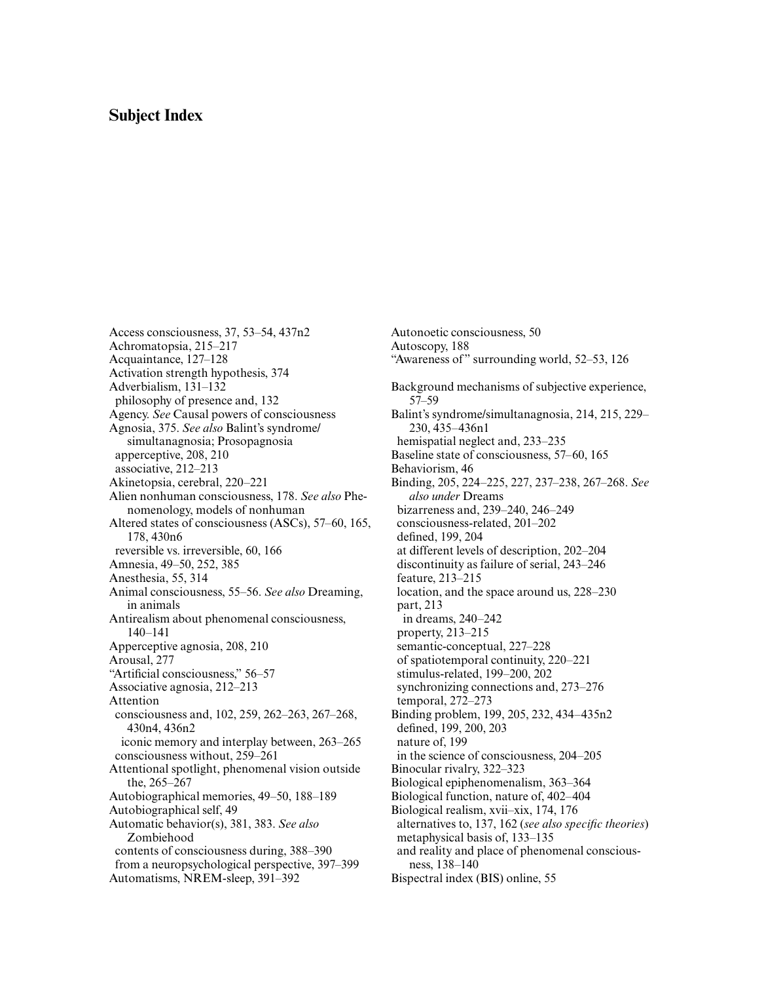## **Subject Index**

Access consciousness, 37, 53–54, 437n2 Achromatopsia, 215–217 Acquaintance, 127–128 Activation strength hypothesis, 374 Adverbialism, 131–132 philosophy of presence and, 132 Agency. *See* Causal powers of consciousness Agnosia, 375. *See also* Balint's syndrome/ simultanagnosia; Prosopagnosia apperceptive, 208, 210 associative, 212–213 Akinetopsia, cerebral, 220–221 Alien nonhuman consciousness, 178. *See also* Phenomenology, models of nonhuman [Altered states of consciousness \(ASCs\), 57–60, 165,](#page--1-0) 178, 430n6 reversible vs. irreversible, 60, 166 Amnesia, 49–50, 252, 385 Anesthesia, 55, 314 Animal consciousness, 55–56. *See also* Dreaming, in animals Antirealism about phenomenal consciousness, 140–141 Apperceptive agnosia, 208, 210 Arousal, 277 "Artificial consciousness," 56–57 Associative agnosia, 212–213 Attention consciousness and, 102, 259, 262–263, 267–268, 430n4, 436n2 iconic memory and interplay between, 263–265 consciousness without, 259–261 Attentional spotlight, phenomenal vision outside the, 265–267 Autobiographical memories, 49–50, 188–189 Autobiographical self, 49 Automatic behavior(s), 381, 383. *See also* Zombiehood contents of consciousness during, 388–390 from a neuropsychological perspective, 397–399 Automatisms, NREM-sleep, 391–392

Autonoetic consciousness, 50 Autoscopy, 188 "Awareness of" surrounding world, 52–53, 126 Background mechanisms of subjective experience, 57–59 Balint's syndrome/simultanagnosia, 214, 215, 229– 230, 435–436n1 hemispatial neglect and, 233–235 Baseline state of consciousness, 57–60, 165 Behaviorism, 46 Binding, 205, 224–225, 227, 237–238, 267–268. *See also under* Dreams bizarreness and, 239–240, 246–249 consciousness-related, 201–202 defined, 199, 204 at different levels of description, 202–204 discontinuity as failure of serial, 243–246 feature, 213–215 location, and the space around us, 228–230 part, 213 in dreams, 240–242 property, 213–215 semantic-conceptual, 227–228 of spatiotemporal continuity, 220–221 stimulus-related, 199–200, 202 synchronizing connections and, 273–276 temporal, 272–273 Binding problem, 199, 205, 232, 434–435n2 defined, 199, 200, 203 nature of, 199 in the science of consciousness, 204–205 Binocular rivalry, 322–323 Biological epiphenomenalism, 363–364 Biological function, nature of, 402–404 Biological realism, xvii–xix, 174, 176 alternatives to, 137, 162 (*see also specific theories*) metaphysical basis of, 133–135 and reality and place of phenomenal consciousness, 138–140

Bispectral index (BIS) online, 55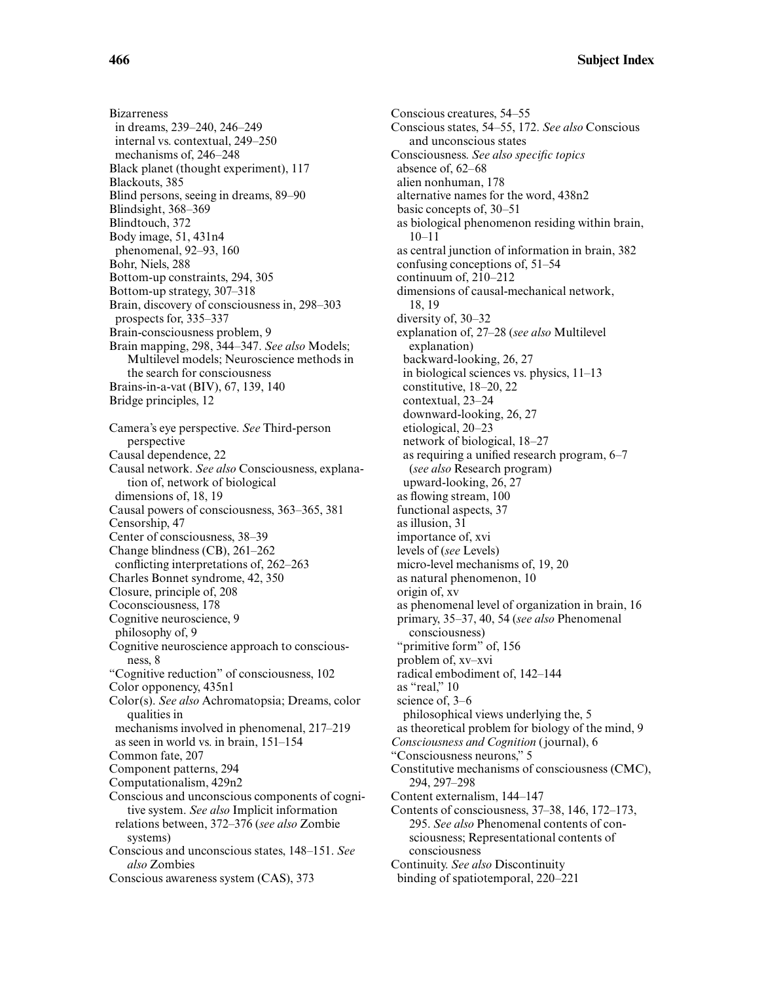**Bizarreness** in dreams, 239–240, 246–249 internal vs. contextual, 249–250 mechanisms of, 246–248 Black planet (thought experiment), 117 Blackouts, 385 Blind persons, seeing in dreams, 89–90 Blindsight, 368–369 Blindtouch, 372 Body image, 51, 431n4 phenomenal, 92–93, 160 Bohr, Niels, 288 Bottom-up constraints, 294, 305 Bottom-up strategy, 307–318 Brain, discovery of consciousness in, 298–303 prospects for, 335–337 Brain-consciousness problem, 9 Brain mapping, 298, 344–347. *See also* Models; Multilevel models; Neuroscience methods in the search for consciousness Brains-in-a-vat (BIV), 67, 139, 140 Bridge principles, 12 Camera's eye perspective. *See* Third-person perspective Causal dependence, 22 Causal network. *See also* Consciousness, explanation of, network of biological dimensions of, 18, 19 Causal powers of consciousness, 363–365, 381 Censorship, 47 Center of consciousness, 38–39 Change blindness (CB), 261–262 conflicting interpretations of, 262–263 Charles Bonnet syndrome, 42, 350 Closure, principle of, 208 Coconsciousness, 178 Cognitive neuroscience, 9 philosophy of, 9 Cognitive neuroscience approach to consciousness, 8 "Cognitive reduction" of consciousness, 102 Color opponency, 435n1 Color(s). *See also* Achromatopsia; Dreams, color qualities in mechanisms involved in phenomenal, 217–219 as seen in world vs. in brain, 151–154 Common fate, 207 Component patterns, 294 Computationalism, 429n2 Conscious and unconscious components of cognitive system. *See also* Implicit information relations between, 372–376 (*see also* Zombie systems) Conscious and unconscious states, 148–151. *See also* Zombies Conscious awareness system (CAS), 373

Conscious creatures, 54–55 Conscious states, 54–55, 172. *See also* Conscious and unconscious states Consciousness. *See also specific topics* absence of, 62–68 alien nonhuman, 178 alternative names for the word, 438n2 basic concepts of, 30–51 as biological phenomenon residing within brain, 10–11 as central junction of information in brain, 382 confusing conceptions of, 51–54 continuum of, 210–212 dimensions of causal-mechanical network, 18, 19 diversity of, 30–32 explanation of, 27–28 (*see also* Multilevel explanation) backward-looking, 26, 27 in biological sciences vs. physics, 11–13 constitutive, 18–20, 22 contextual, 23–24 downward-looking, 26, 27 etiological, 20–23 network of biological, 18–27 as requiring a unified research program, 6–7 (*see also* Research program) upward-looking, 26, 27 as flowing stream, 100 functional aspects, 37 as illusion, 31 importance of, xvi levels of (*see* Levels) micro-level mechanisms of, 19, 20 as natural phenomenon, 10 origin of, xv as phenomenal level of organization in brain, 16 primary, 35–37, 40, 54 (*see also* Phenomenal consciousness) "primitive form" of, 156 problem of, xv–xvi radical embodiment of, 142–144 as "real," 10 science of, 3–6 philosophical views underlying the, 5 as theoretical problem for biology of the mind, 9 *Consciousness and Cognition* (journal), 6 "Consciousness neurons," 5 Constitutive mechanisms of consciousness (CMC), 294, 297–298 Content externalism, 144–147 Contents of consciousness, 37–38, 146, 172–173, 295. *See also* Phenomenal contents of consciousness; Representational contents of consciousness Continuity. *See also* Discontinuity binding of spatiotemporal, 220–221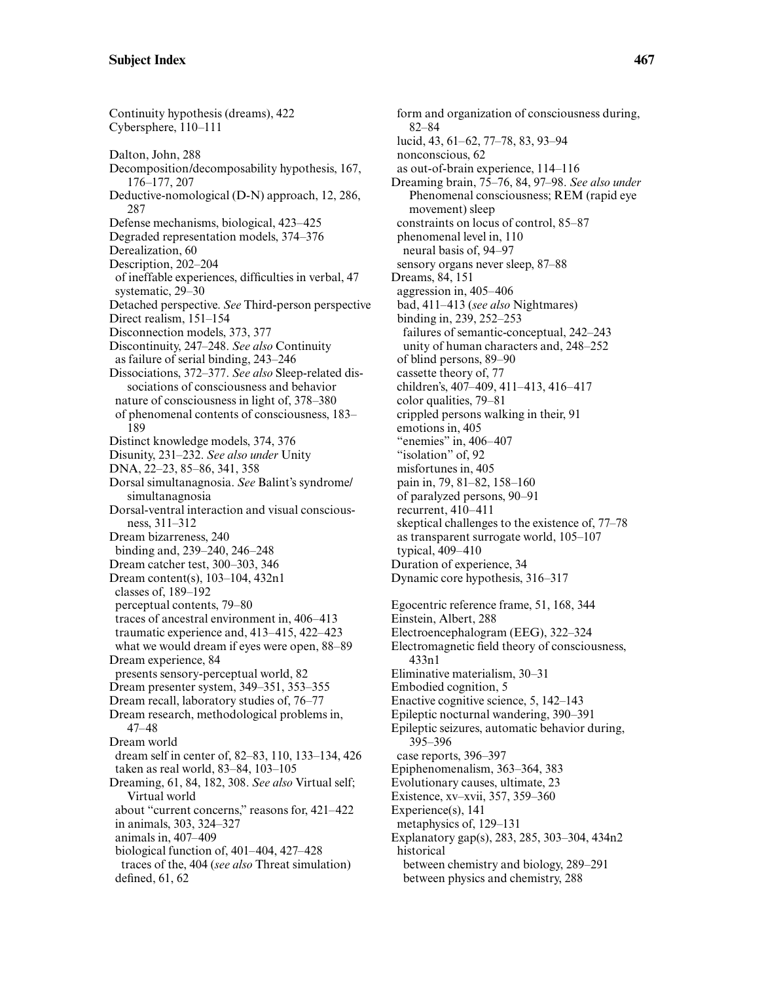Continuity hypothesis (dreams), 422 Cybersphere, 110–111 Dalton, John, 288 Decomposition/decomposability hypothesis, 167, 176–177, 207 Deductive-nomological (D-N) approach, 12, 286, 287 Defense mechanisms, biological, 423–425 Degraded representation models, 374–376 Derealization, 60 Description, 202–204 of ineffable experiences, difficulties in verbal, 47 systematic, 29–30 Detached perspective. *See* Third-person perspective Direct realism, 151–154 Disconnection models, 373, 377 Discontinuity, 247–248. *See also* Continuity as failure of serial binding, 243–246 Dissociations, 372–377. *See also* Sleep-related dissociations of consciousness and behavior nature of consciousness in light of, 378–380 of phenomenal contents of consciousness, 183– 189 Distinct knowledge models, 374, 376 Disunity, 231–232. *See also under* Unity DNA, 22–23, 85–86, 341, 358 Dorsal simultanagnosia. *See* Balint's syndrome/ simultanagnosia Dorsal-ventral interaction and visual consciousness, 311–312 Dream bizarreness, 240 binding and, 239–240, 246–248 Dream catcher test, 300–303, 346 Dream content(s), 103–104, 432n1 classes of, 189–192 perceptual contents, 79–80 traces of ancestral environment in, 406–413 traumatic experience and, 413–415, 422–423 what we would dream if eyes were open, 88–89 Dream experience, 84 presents sensory-perceptual world, 82 Dream presenter system, 349–351, 353–355 Dream recall, laboratory studies of, 76–77 Dream research, methodological problems in, 47–48 Dream world dream self in center of, 82–83, 110, 133–134, 426 taken as real world, 83–84, 103–105 Dreaming, 61, 84, 182, 308. *See also* Virtual self; Virtual world about "current concerns," reasons for, 421–422 in animals, 303, 324–327 animals in, 407–409 biological function of, 401–404, 427–428 traces of the, 404 (*see also* Threat simulation) defined, 61, 62

form and organization of consciousness during, 82–84 lucid, 43, 61–62, 77–78, 83, 93–94 nonconscious, 62 as out-of-brain experience, 114–116 Dreaming brain, 75–76, 84, 97–98. *See also under* Phenomenal consciousness; REM (rapid eye movement) sleep constraints on locus of control, 85–87 phenomenal level in, 110 neural basis of, 94–97 sensory organs never sleep, 87–88 Dreams, 84, 151 aggression in, 405–406 bad, 411–413 (*see also* Nightmares) binding in, 239, 252–253 failures of semantic-conceptual, 242–243 unity of human characters and, 248–252 of blind persons, 89–90 cassette theory of, 77 children's, 407–409, 411–413, 416–417 color qualities, 79–81 crippled persons walking in their, 91 emotions in, 405 "enemies" in, 406–407 "isolation" of, 92 misfortunes in, 405 pain in, 79, 81–82, 158–160 of paralyzed persons, 90–91 recurrent, 410–411 skeptical challenges to the existence of, 77–78 as transparent surrogate world, 105–107 typical, 409–410 Duration of experience, 34 Dynamic core hypothesis, 316–317 Egocentric reference frame, 51, 168, 344 Einstein, Albert, 288 Electroencephalogram (EEG), 322–324 Electromagnetic field theory of consciousness, 433n1 Eliminative materialism, 30–31 Embodied cognition, 5 Enactive cognitive science, 5, 142–143 Epileptic nocturnal wandering, 390–391 Epileptic seizures, automatic behavior during, 395–396 case reports, 396–397 Epiphenomenalism, 363–364, 383 Evolutionary causes, ultimate, 23 Existence, xv–xvii, 357, 359–360 Experience(s), 141 metaphysics of, 129–131 Explanatory gap(s), 283, 285, 303–304, 434n2

historical between chemistry and biology, 289–291 between physics and chemistry, 288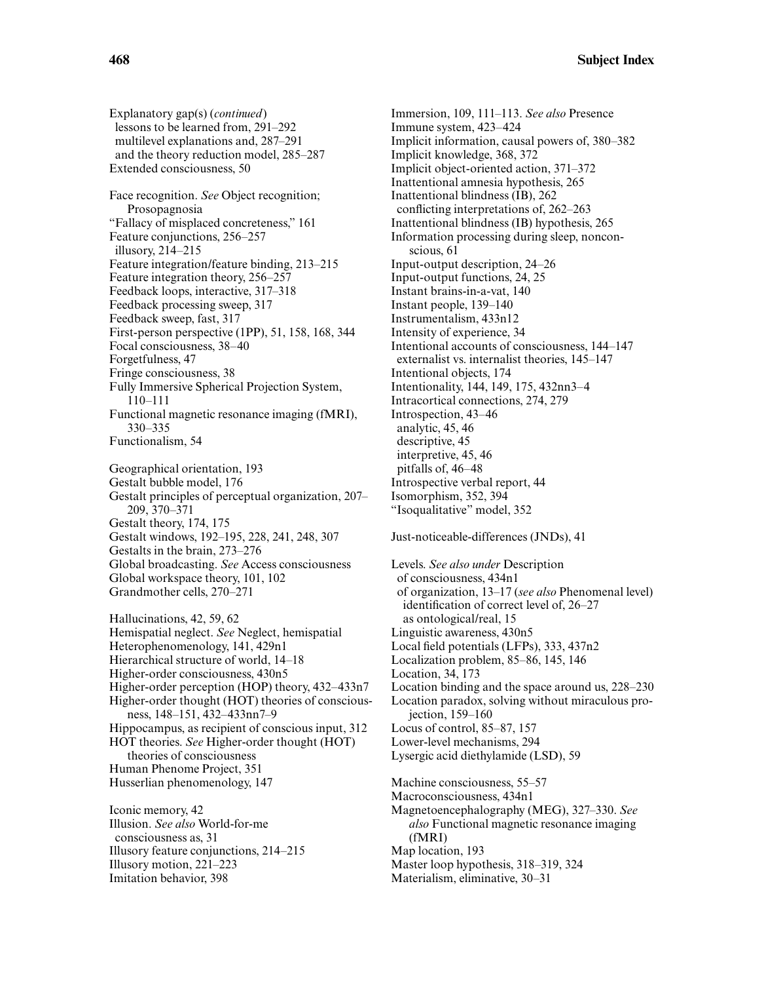Explanatory gap(s) (*continued*) lessons to be learned from, 291–292 multilevel explanations and, 287–291 and the theory reduction model, 285–287 Extended consciousness, 50

Face recognition. *See* Object recognition; Prosopagnosia "Fallacy of misplaced concreteness," 161 Feature conjunctions, 256–257 illusory, 214–215 Feature integration/feature binding, 213–215 Feature integration theory, 256–257 Feedback loops, interactive, 317–318 Feedback processing sweep, 317 Feedback sweep, fast, 317 First-person perspective (1PP), 51, 158, 168, 344 Focal consciousness, 38–40 Forgetfulness, 47 Fringe consciousness, 38 Fully Immersive Spherical Projection System, 110–111 Functional magnetic resonance imaging (fMRI), 330–335 Functionalism, 54 Geographical orientation, 193 Gestalt bubble model, 176 Gestalt principles of perceptual organization, 207–

209, 370–371 Gestalt theory, 174, 175 Gestalt windows, 192–195, 228, 241, 248, 307 Gestalts in the brain, 273–276 Global broadcasting. *See* Access consciousness Global workspace theory, 101, 102 Grandmother cells, 270–271

Hallucinations, 42, 59, 62 Hemispatial neglect. *See* Neglect, hemispatial Heterophenomenology, 141, 429n1 Hierarchical structure of world, 14–18 Higher-order consciousness, 430n5 Higher-order perception (HOP) theory, 432–433n7 Higher-order thought (HOT) theories of consciousness, 148–151, 432–433nn7–9 Hippocampus, as recipient of conscious input, 312 HOT theories. *See* Higher-order thought (HOT) theories of consciousness Human Phenome Project, 351 Husserlian phenomenology, 147

Iconic memory, 42 Illusion. *See also* World-for-me consciousness as, 31 Illusory feature conjunctions, 214–215 Illusory motion, 221–223 Imitation behavior, 398

Immersion, 109, 111–113. *See also* Presence Immune system, 423–424 Implicit information, causal powers of, 380–382 Implicit knowledge, 368, 372 Implicit object-oriented action, 371–372 Inattentional amnesia hypothesis, 265 Inattentional blindness (IB), 262 conflicting interpretations of, 262–263 Inattentional blindness (IB) hypothesis, 265 Information processing during sleep, nonconscious, 61 Input-output description, 24–26 Input-output functions, 24, 25 Instant brains-in-a-vat, 140 Instant people, 139–140 Instrumentalism, 433n12 Intensity of experience, 34 Intentional accounts of consciousness, 144–147 externalist vs. internalist theories, 145–147 Intentional objects, 174 Intentionality, 144, 149, 175, 432nn3–4 Intracortical connections, 274, 279 Introspection, 43–46 analytic, 45, 46 descriptive, 45 interpretive, 45, 46 pitfalls of, 46–48 Introspective verbal report, 44 Isomorphism, 352, 394 "Isoqualitative" model, 352

## Just-noticeable-differences (JNDs), 41

Levels. *See also under* Description of consciousness, 434n1 of organization, 13–17 (*see also* Phenomenal level) identification of correct level of, 26–27 as ontological/real, 15 Linguistic awareness, 430n5 Local field potentials (LFPs), 333, 437n2 Localization problem, 85–86, 145, 146 Location, 34, 173 Location binding and the space around us, 228–230 Location paradox, solving without miraculous projection, 159–160 Locus of control, 85–87, 157 Lower-level mechanisms, 294 Lysergic acid diethylamide (LSD), 59 Machine consciousness, 55–57 Macroconsciousness, 434n1 Magnetoencephalography (MEG), 327–330. *See also* Functional magnetic resonance imaging (fMRI) Map location, 193

Master loop hypothesis, 318–319, 324

Materialism, eliminative, 30–31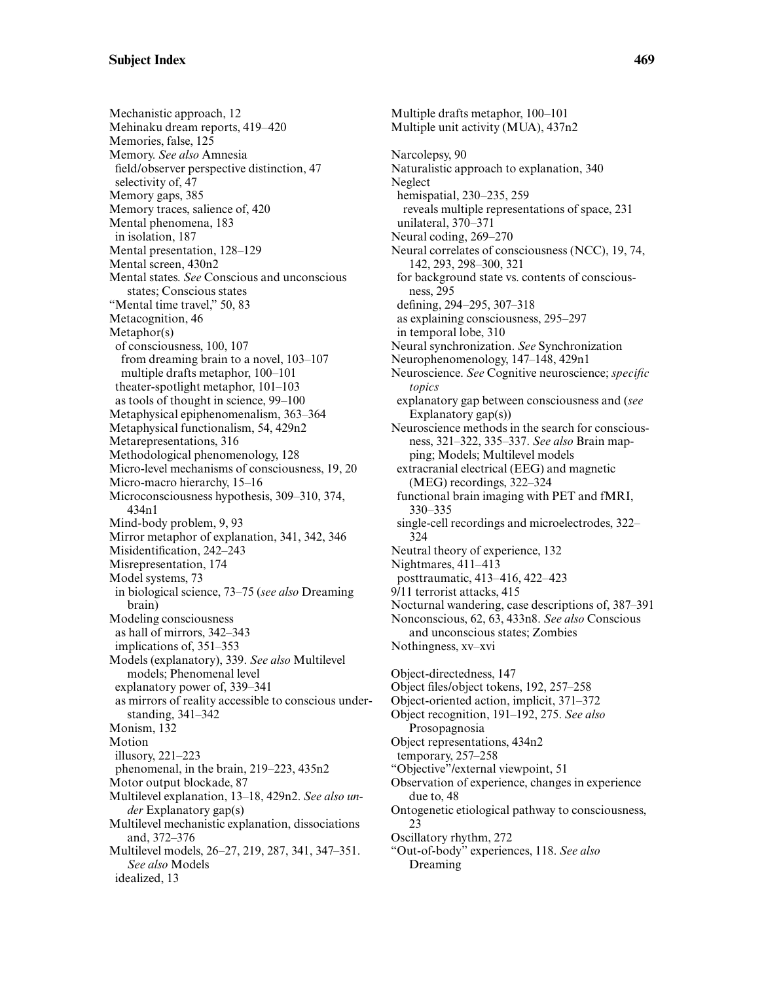Mechanistic approach, 12 Mehinaku dream reports, 419–420 Memories, false, 125 Memory. *See also* Amnesia field/observer perspective distinction, 47 selectivity of, 47 Memory gaps, 385 Memory traces, salience of, 420 Mental phenomena, 183 in isolation, 187 Mental presentation, 128–129 Mental screen, 430n2 Mental states. *See* Conscious and unconscious states; Conscious states "Mental time travel," 50, 83 Metacognition, 46 Metaphor(s) of consciousness, 100, 107 from dreaming brain to a novel, 103–107 multiple drafts metaphor, 100–101 theater-spotlight metaphor, 101–103 as tools of thought in science, 99–100 Metaphysical epiphenomenalism, 363–364 Metaphysical functionalism, 54, 429n2 Metarepresentations, 316 Methodological phenomenology, 128 Micro-level mechanisms of consciousness, 19, 20 Micro-macro hierarchy, 15–16 Microconsciousness hypothesis, 309–310, 374, 434n1 Mind-body problem, 9, 93 Mirror metaphor of explanation, 341, 342, 346 Misidentification, 242–243 Misrepresentation, 174 Model systems, 73 in biological science, 73–75 (*see also* Dreaming brain) Modeling consciousness as hall of mirrors, 342–343 implications of, 351–353 Models (explanatory), 339. *See also* Multilevel models; Phenomenal level explanatory power of, 339–341 as mirrors of reality accessible to conscious understanding, 341–342 Monism, 132 Motion illusory, 221–223 phenomenal, in the brain, 219–223, 435n2 Motor output blockade, 87 Multilevel explanation, 13–18, 429n2. *See also under* Explanatory gap(s) Multilevel mechanistic explanation, dissociations and, 372–376 Multilevel models, 26–27, 219, 287, 341, 347–351. *See also* Models idealized, 13

Multiple unit activity (MUA), 437n2 Narcolepsy, 90 Naturalistic approach to explanation, 340 Neglect hemispatial, 230–235, 259 reveals multiple representations of space, 231 unilateral, 370–371 Neural coding, 269–270 Neural correlates of consciousness (NCC), 19, 74, 142, 293, 298–300, 321 for background state vs. contents of consciousness, 295 defining, 294–295, 307–318 as explaining consciousness, 295–297 in temporal lobe, 310 Neural synchronization. *See* Synchronization Neurophenomenology, 147–148, 429n1 Neuroscience. *See* Cognitive neuroscience; *specific topics* explanatory gap between consciousness and (*see* Explanatory gap(s)) Neuroscience methods in the search for consciousness, 321–322, 335–337. *See also* Brain mapping; Models; Multilevel models extracranial electrical (EEG) and magnetic (MEG) recordings, 322–324 functional brain imaging with PET and fMRI, 330–335 single-cell recordings and microelectrodes, 322– 324 Neutral theory of experience, 132 Nightmares, 411–413 posttraumatic, 413–416, 422–423 9/11 terrorist attacks, 415 Nocturnal wandering, case descriptions of, 387–391 Nonconscious, 62, 63, 433n8. *See also* Conscious and unconscious states; Zombies Nothingness, xv–xvi Object-directedness, 147 Object files/object tokens, 192, 257–258 Object-oriented action, implicit, 371–372 Object recognition, 191–192, 275. *See also* Prosopagnosia Object representations, 434n2 temporary, 257–258 "Objective"/external viewpoint, 51 Observation of experience, changes in experience due to, 48 Ontogenetic etiological pathway to consciousness, 23 Oscillatory rhythm, 272 "Out-of-body" experiences, 118. *See also* Dreaming

Multiple drafts metaphor, 100–101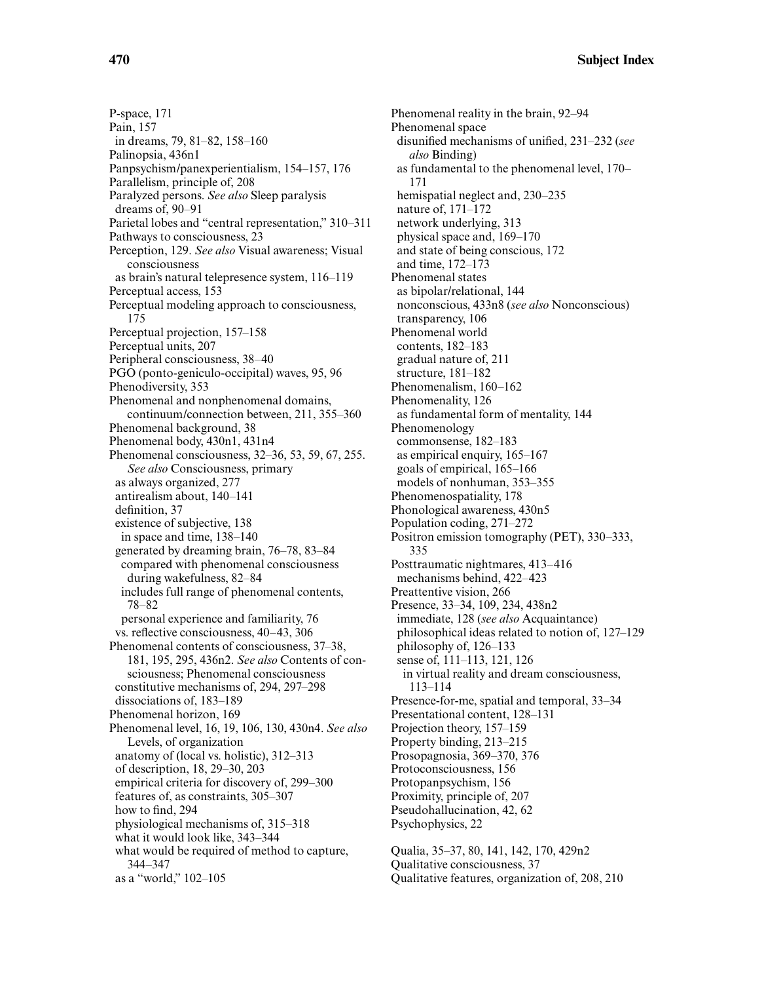**470 Subject Index**

P-space, 171 Pain, 157 in dreams, 79, 81–82, 158–160 Palinopsia, 436n1 Panpsychism/panexperientialism, 154–157, 176 Parallelism, principle of, 208 Paralyzed persons. *See also* Sleep paralysis dreams of, 90–91 Parietal lobes and "central representation," 310–311 Pathways to consciousness, 23 Perception, 129. *See also* Visual awareness; Visual consciousness as brain's natural telepresence system, 116–119 Perceptual access, 153 Perceptual modeling approach to consciousness, 175 Perceptual projection, 157–158 Perceptual units, 207 Peripheral consciousness, 38–40 PGO (ponto-geniculo-occipital) waves, 95, 96 Phenodiversity, 353 Phenomenal and nonphenomenal domains, continuum/connection between, 211, 355–360 Phenomenal background, 38 Phenomenal body, 430n1, 431n4 Phenomenal consciousness, 32–36, 53, 59, 67, 255. *See also* Consciousness, primary as always organized, 277 antirealism about, 140–141 definition, 37 existence of subjective, 138 in space and time, 138–140 generated by dreaming brain, 76–78, 83–84 compared with phenomenal consciousness during wakefulness, 82–84 includes full range of phenomenal contents, 78–82 personal experience and familiarity, 76 vs. reflective consciousness, 40–43, 306 Phenomenal contents of consciousness, 37–38, 181, 195, 295, 436n2. *See also* Contents of consciousness; Phenomenal consciousness constitutive mechanisms of, 294, 297–298 dissociations of, 183–189 Phenomenal horizon, 169 Phenomenal level, 16, 19, 106, 130, 430n4. *See also* Levels, of organization anatomy of (local vs. holistic), 312–313 of description, 18, 29–30, 203 empirical criteria for discovery of, 299–300 features of, as constraints, 305–307 how to find, 294 physiological mechanisms of, 315–318 what it would look like, 343–344 what would be required of method to capture, 344–347 as a "world," 102–105

Phenomenal reality in the brain, 92–94 Phenomenal space disunified mechanisms of unified, 231–232 (*see also* Binding) as fundamental to the phenomenal level, 170– 171 hemispatial neglect and, 230–235 nature of, 171–172 network underlying, 313 physical space and, 169–170 and state of being conscious, 172 and time, 172–173 Phenomenal states as bipolar/relational, 144 nonconscious, 433n8 (*see also* Nonconscious) transparency, 106 Phenomenal world contents, 182–183 gradual nature of, 211 structure, 181–182 Phenomenalism, 160–162 Phenomenality, 126 as fundamental form of mentality, 144 Phenomenology commonsense, 182–183 as empirical enquiry, 165–167 goals of empirical, 165–166 models of nonhuman, 353–355 Phenomenospatiality, 178 Phonological awareness, 430n5 Population coding, 271–272 Positron emission tomography (PET), 330–333, 335 Posttraumatic nightmares, 413–416 mechanisms behind, 422–423 Preattentive vision, 266 Presence, 33–34, 109, 234, 438n2 immediate, 128 (*see also* Acquaintance) philosophical ideas related to notion of, 127–129 philosophy of, 126–133 sense of, 111–113, 121, 126 in virtual reality and dream consciousness, 113–114 Presence-for-me, spatial and temporal, 33–34 Presentational content, 128–131 Projection theory, 157–159 Property binding, 213–215 Prosopagnosia, 369–370, 376 Protoconsciousness, 156 Protopanpsychism, 156 Proximity, principle of, 207 Pseudohallucination, 42, 62 Psychophysics, 22 Qualia, 35–37, 80, 141, 142, 170, 429n2

Qualitative consciousness, 37

Qualitative features, organization of, 208, 210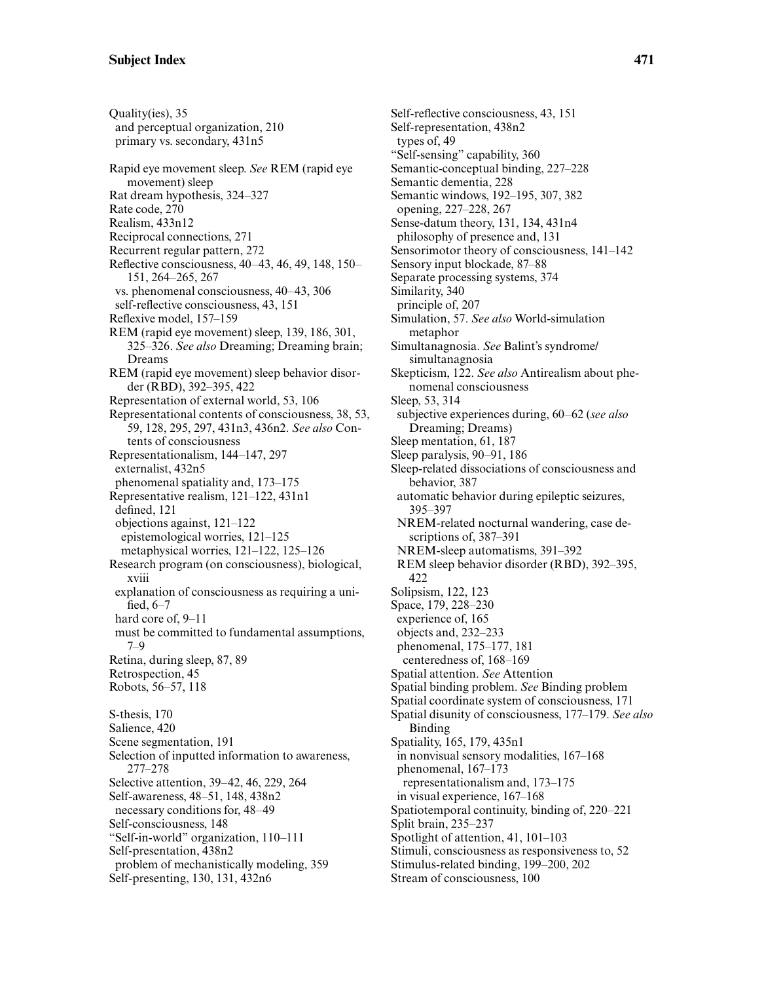Quality(ies), 35 and perceptual organization, 210 primary vs. secondary, 431n5 Rapid eye movement sleep. *See* REM (rapid eye movement) sleep Rat dream hypothesis, 324–327 Rate code, 270 Realism, 433n12 Reciprocal connections, 271 Recurrent regular pattern, 272 Reflective consciousness, 40–43, 46, 49, 148, 150– 151, 264–265, 267 vs. phenomenal consciousness, 40–43, 306 self-reflective consciousness, 43, 151 Reflexive model, 157–159 REM (rapid eye movement) sleep, 139, 186, 301, 325–326. *See also* Dreaming; Dreaming brain; Dreams REM (rapid eye movement) sleep behavior disorder (RBD), 392–395, 422 Representation of external world, 53, 106 Representational contents of consciousness, 38, 53, 59, 128, 295, 297, 431n3, 436n2. *See also* Contents of consciousness Representationalism, 144–147, 297 externalist, 432n5 phenomenal spatiality and, 173–175 Representative realism, 121–122, 431n1 defined, 121 objections against, 121–122 epistemological worries, 121–125 metaphysical worries, 121–122, 125–126 Research program (on consciousness), biological, xviii explanation of consciousness as requiring a unified, 6–7 hard core of, 9–11 must be committed to fundamental assumptions, 7–9 Retina, during sleep, 87, 89 Retrospection, 45 Robots, 56–57, 118 S-thesis, 170 Salience, 420 Scene segmentation, 191 Selection of inputted information to awareness, 277–278 Selective attention, 39–42, 46, 229, 264 Self-awareness, 48–51, 148, 438n2 necessary conditions for, 48–49 Self-consciousness, 148 "Self-in-world" organization, 110–111 Self-presentation, 438n2 problem of mechanistically modeling, 359 Self-presenting, 130, 131, 432n6

Self-reflective consciousness, 43, 151 Self-representation, 438n2 types of, 49 "Self-sensing" capability, 360 Semantic-conceptual binding, 227–228 Semantic dementia, 228 Semantic windows, 192–195, 307, 382 opening, 227–228, 267 Sense-datum theory, 131, 134, 431n4 philosophy of presence and, 131 Sensorimotor theory of consciousness, 141–142 Sensory input blockade, 87–88 Separate processing systems, 374 Similarity, 340 principle of, 207 Simulation, 57. *See also* World-simulation metaphor Simultanagnosia. *See* Balint's syndrome/ simultanagnosia Skepticism, 122. *See also* Antirealism about phenomenal consciousness Sleep, 53, 314 subjective experiences during, 60–62 (*see also* Dreaming; Dreams) Sleep mentation, 61, 187 Sleep paralysis, 90–91, 186 Sleep-related dissociations of consciousness and behavior, 387 automatic behavior during epileptic seizures, 395–397 NREM-related nocturnal wandering, case descriptions of, 387–391 NREM-sleep automatisms, 391–392 REM sleep behavior disorder (RBD), 392–395, 422 Solipsism, 122, 123 Space, 179, 228–230 experience of, 165 objects and, 232–233 phenomenal, 175–177, 181 centeredness of, 168–169 Spatial attention. *See* Attention Spatial binding problem. *See* Binding problem Spatial coordinate system of consciousness, 171 Spatial disunity of consciousness, 177–179. *See also* Binding Spatiality, 165, 179, 435n1 in nonvisual sensory modalities, 167–168 phenomenal, 167–173 representationalism and, 173–175 in visual experience, 167–168 Spatiotemporal continuity, binding of, 220–221 Split brain, 235–237 Spotlight of attention, 41, 101–103 Stimuli, consciousness as responsiveness to, 52 Stimulus-related binding, 199–200, 202 Stream of consciousness, 100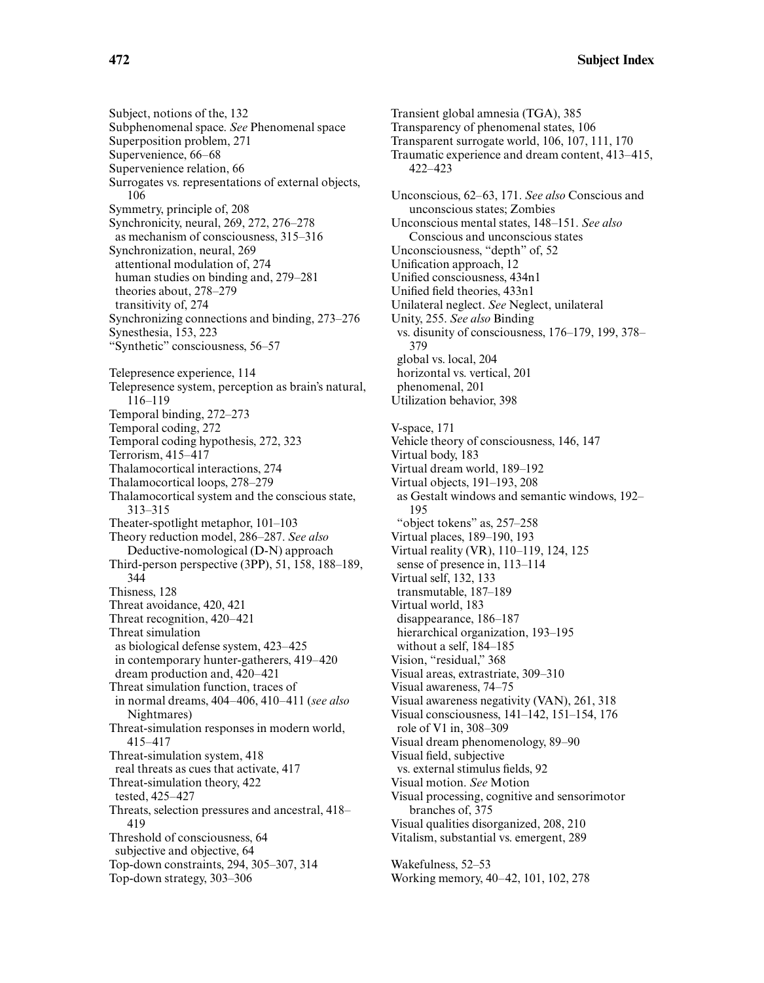**472 Subject Index**

Subphenomenal space. *See* Phenomenal space Transient global amnesia (TGA), 385 Transparency of phenomenal states, 106 422–423

Surrogates vs. representations of external objects, 106 Symmetry, principle of, 208 Synchronicity, neural, 269, 272, 276–278 as mechanism of consciousness, 315–316 Synchronization, neural, 269 attentional modulation of, 274 human studies on binding and, 279–281 theories about, 278–279 transitivity of, 274 Synchronizing connections and binding, 273–276 Synesthesia, 153, 223 "Synthetic" consciousness, 56–57 Telepresence experience, 114 Telepresence system, perception as brain's natural, 116–119 Temporal binding, 272–273 Temporal coding, 272 Temporal coding hypothesis, 272, 323 Terrorism, 415–417 Thalamocortical interactions, 274 Thalamocortical loops, 278–279 Thalamocortical system and the conscious state, 313–315 Theater-spotlight metaphor, 101–103 Theory reduction model, 286–287. *See also* Deductive-nomological (D-N) approach Third-person perspective (3PP), 51, 158, 188–189, 344 Thisness, 128 Threat avoidance, 420, 421 Threat recognition, 420–421 Threat simulation as biological defense system, 423–425 in contemporary hunter-gatherers, 419–420 dream production and, 420–421 Threat simulation function, traces of in normal dreams, 404–406, 410–411 (*see also* Nightmares) Threat-simulation responses in modern world, 415–417 Threat-simulation system, 418 real threats as cues that activate, 417 Threat-simulation theory, 422 tested, 425–427 Threats, selection pressures and ancestral, 418– 419

Threshold of consciousness, 64 subjective and objective, 64 Top-down constraints, 294, 305–307, 314 Top-down strategy, 303–306

Transparent surrogate world, 106, 107, 111, 170 Traumatic experience and dream content, 413–415, Unconscious, 62–63, 171. *See also* Conscious and unconscious states; Zombies Unconscious mental states, 148–151. *See also* Conscious and unconscious states Unconsciousness, "depth" of, 52 Unification approach, 12 Unified consciousness, 434n1 Unified field theories, 433n1 Unilateral neglect. *See* Neglect, unilateral Unity, 255. *See also* Binding vs. disunity of consciousness, 176–179, 199, 378– 379 global vs. local, 204 horizontal vs. vertical, 201 phenomenal, 201 Utilization behavior, 398 V-space, 171 Vehicle theory of consciousness, 146, 147 Virtual body, 183 Virtual dream world, 189–192 Virtual objects, 191–193, 208 as Gestalt windows and semantic windows, 192– 195 "object tokens" as, 257–258 Virtual places, 189–190, 193 Virtual reality (VR), 110–119, 124, 125 sense of presence in, 113–114 Virtual self, 132, 133 transmutable, 187–189 Virtual world, 183 disappearance, 186–187 hierarchical organization, 193–195 without a self, 184–185 Vision, "residual," 368 Visual areas, extrastriate, 309–310 Visual awareness, 74–75 Visual awareness negativity (VAN), 261, 318 Visual consciousness, 141–142, 151–154, 176 role of V1 in, 308–309 Visual dream phenomenology, 89–90 Visual field, subjective vs. external stimulus fields, 92 Visual motion. *See* Motion Visual processing, cognitive and sensorimotor branches of, 375 Visual qualities disorganized, 208, 210 Vitalism, substantial vs. emergent, 289 Wakefulness, 52–53

Working memory, 40–42, 101, 102, 278

Subject, notions of the, 132

Superposition problem, 271 Supervenience, 66–68 Supervenience relation, 66